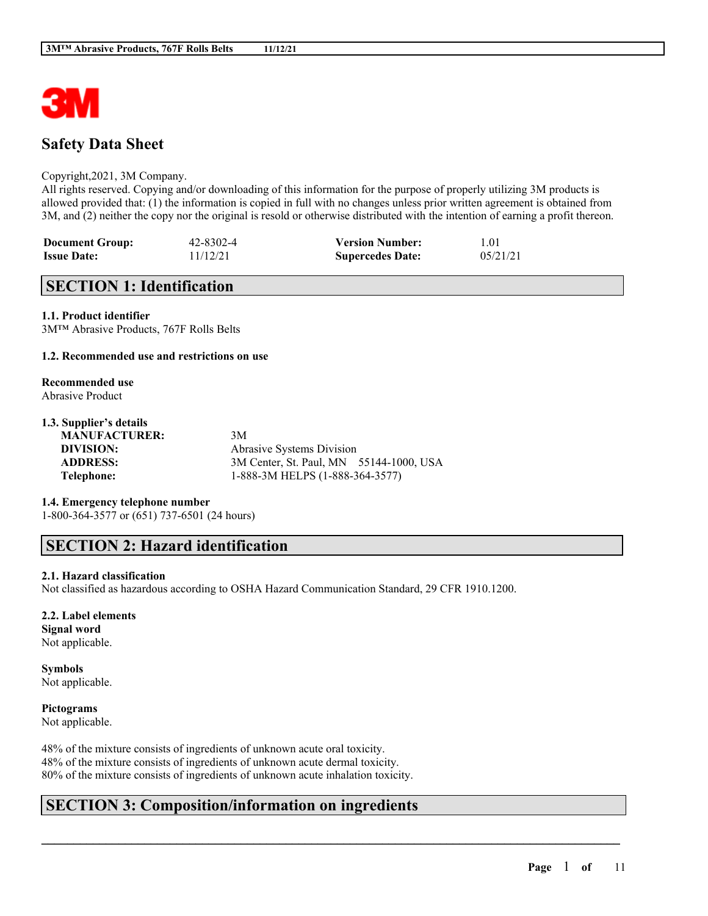

## **Safety Data Sheet**

#### Copyright,2021, 3M Company.

All rights reserved. Copying and/or downloading of this information for the purpose of properly utilizing 3M products is allowed provided that: (1) the information is copied in full with no changes unless prior written agreement is obtained from 3M, and (2) neither the copy nor the original is resold or otherwise distributed with the intention of earning a profit thereon.

| <b>Document Group:</b> | 42-8302-4 | <b>Version Number:</b>  | 1.01     |
|------------------------|-----------|-------------------------|----------|
| <b>Issue Date:</b>     | 11/12/21  | <b>Supercedes Date:</b> | 05/21/21 |

## **SECTION 1: Identification**

**1.1. Product identifier** 3M™ Abrasive Products, 767F Rolls Belts

#### **1.2. Recommended use and restrictions on use**

#### **Recommended use** Abrasive Product

## **1.3. Supplier's details**

**MANUFACTURER:** 3M

**DIVISION:** Abrasive Systems Division **ADDRESS:** 3M Center, St. Paul, MN 55144-1000, USA **Telephone:** 1-888-3M HELPS (1-888-364-3577)

 $\mathcal{L}_\mathcal{L} = \mathcal{L}_\mathcal{L} = \mathcal{L}_\mathcal{L} = \mathcal{L}_\mathcal{L} = \mathcal{L}_\mathcal{L} = \mathcal{L}_\mathcal{L} = \mathcal{L}_\mathcal{L} = \mathcal{L}_\mathcal{L} = \mathcal{L}_\mathcal{L} = \mathcal{L}_\mathcal{L} = \mathcal{L}_\mathcal{L} = \mathcal{L}_\mathcal{L} = \mathcal{L}_\mathcal{L} = \mathcal{L}_\mathcal{L} = \mathcal{L}_\mathcal{L} = \mathcal{L}_\mathcal{L} = \mathcal{L}_\mathcal{L}$ 

#### **1.4. Emergency telephone number**

1-800-364-3577 or (651) 737-6501 (24 hours)

## **SECTION 2: Hazard identification**

#### **2.1. Hazard classification**

Not classified as hazardous according to OSHA Hazard Communication Standard, 29 CFR 1910.1200.

## **2.2. Label elements Signal word**

Not applicable.

### **Symbols** Not applicable.

# **Pictograms**

Not applicable.

48% of the mixture consists of ingredients of unknown acute oral toxicity. 48% of the mixture consists of ingredients of unknown acute dermal toxicity. 80% of the mixture consists of ingredients of unknown acute inhalation toxicity.

## **SECTION 3: Composition/information on ingredients**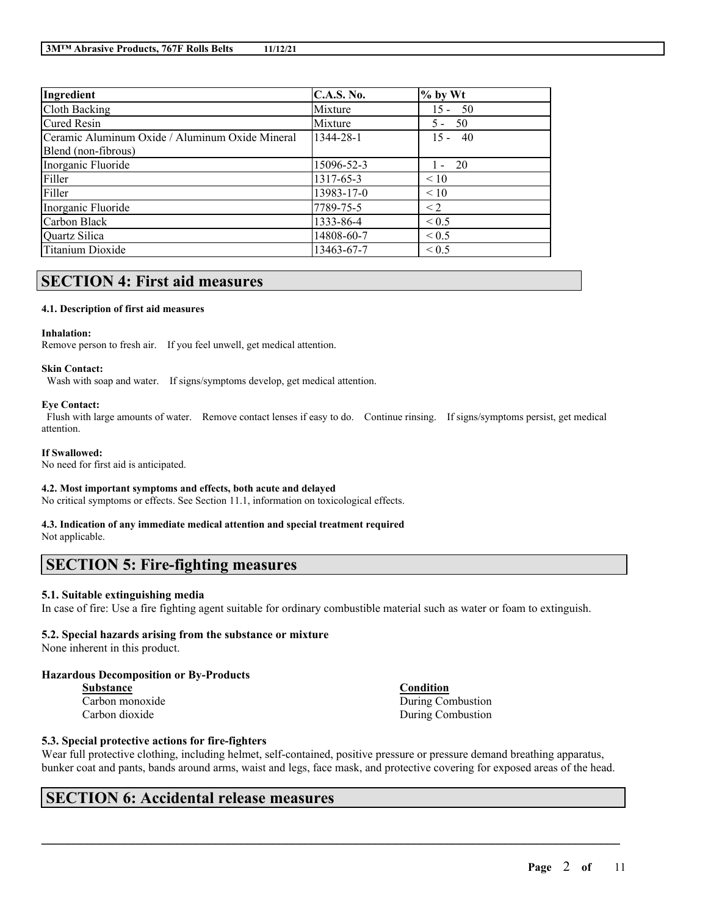| Ingredient                                      | <b>C.A.S. No.</b> | $\%$ by Wt |
|-------------------------------------------------|-------------------|------------|
| Cloth Backing                                   | Mixture           | $15 - 50$  |
| <b>Cured Resin</b>                              | Mixture           | $5 - 50$   |
| Ceramic Aluminum Oxide / Aluminum Oxide Mineral | 1344-28-1         | $15 - 40$  |
| Blend (non-fibrous)                             |                   |            |
| Inorganic Fluoride                              | 15096-52-3        | $1 - 20$   |
| Filler                                          | 1317-65-3         | $\leq 10$  |
| Filler                                          | 13983-17-0        | $\leq 10$  |
| Inorganic Fluoride                              | 7789-75-5         | $\leq$ 2   |
| Carbon Black                                    | 1333-86-4         | ${}_{0.5}$ |
| Quartz Silica                                   | 14808-60-7        | ${}_{0.5}$ |
| Titanium Dioxide                                | 13463-67-7        | ${}_{0.5}$ |

# **SECTION 4: First aid measures**

#### **4.1. Description of first aid measures**

#### **Inhalation:**

Remove person to fresh air. If you feel unwell, get medical attention.

#### **Skin Contact:**

Wash with soap and water. If signs/symptoms develop, get medical attention.

#### **Eye Contact:**

Flush with large amounts of water. Remove contact lenses if easy to do. Continue rinsing. If signs/symptoms persist, get medical attention.

#### **If Swallowed:**

No need for first aid is anticipated.

#### **4.2. Most important symptoms and effects, both acute and delayed**

No critical symptoms or effects. See Section 11.1, information on toxicological effects.

# **4.3. Indication of any immediate medical attention and special treatment required**

Not applicable.

## **SECTION 5: Fire-fighting measures**

## **5.1. Suitable extinguishing media**

In case of fire: Use a fire fighting agent suitable for ordinary combustible material such as water or foam to extinguish.

#### **5.2. Special hazards arising from the substance or mixture**

None inherent in this product.

## **Hazardous Decomposition or By-Products**

| <b>Substance</b> |  |
|------------------|--|
| Carbon monoxide  |  |
| Carbon dioxide   |  |

**Substance Condition** During Combustion During Combustion

## **5.3. Special protective actions for fire-fighters**

Wear full protective clothing, including helmet, self-contained, positive pressure or pressure demand breathing apparatus, bunker coat and pants, bands around arms, waist and legs, face mask, and protective covering for exposed areas of the head.

 $\mathcal{L}_\mathcal{L} = \mathcal{L}_\mathcal{L} = \mathcal{L}_\mathcal{L} = \mathcal{L}_\mathcal{L} = \mathcal{L}_\mathcal{L} = \mathcal{L}_\mathcal{L} = \mathcal{L}_\mathcal{L} = \mathcal{L}_\mathcal{L} = \mathcal{L}_\mathcal{L} = \mathcal{L}_\mathcal{L} = \mathcal{L}_\mathcal{L} = \mathcal{L}_\mathcal{L} = \mathcal{L}_\mathcal{L} = \mathcal{L}_\mathcal{L} = \mathcal{L}_\mathcal{L} = \mathcal{L}_\mathcal{L} = \mathcal{L}_\mathcal{L}$ 

## **SECTION 6: Accidental release measures**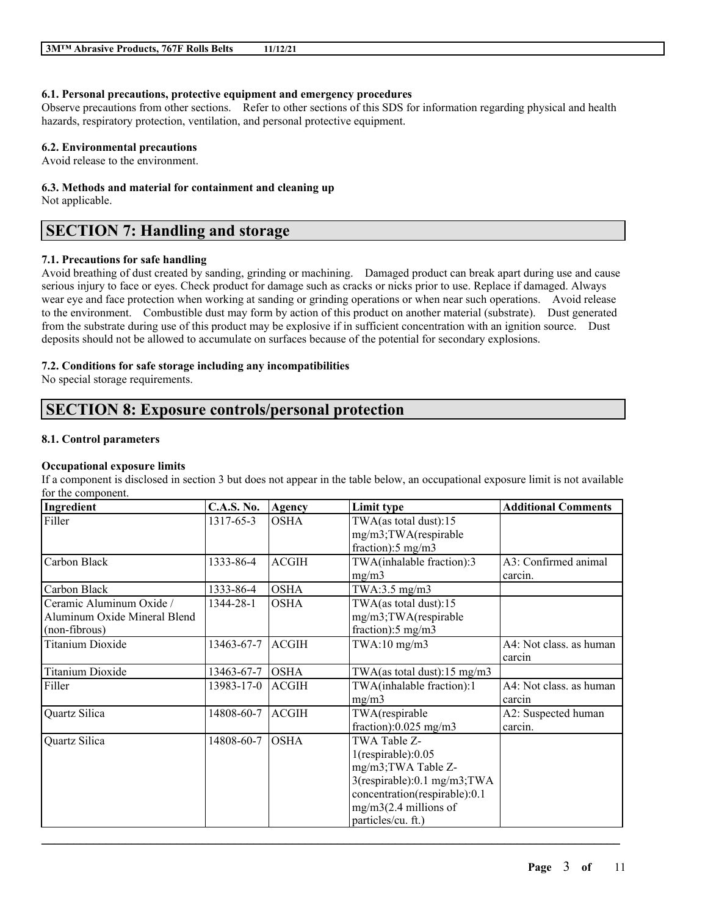### **6.1. Personal precautions, protective equipment and emergency procedures**

Observe precautions from other sections. Refer to other sections of this SDS for information regarding physical and health hazards, respiratory protection, ventilation, and personal protective equipment.

### **6.2. Environmental precautions**

Avoid release to the environment.

## **6.3. Methods and material for containment and cleaning up**

Not applicable.

## **SECTION 7: Handling and storage**

## **7.1. Precautions for safe handling**

Avoid breathing of dust created by sanding, grinding or machining. Damaged product can break apart during use and cause serious injury to face or eyes. Check product for damage such as cracks or nicks prior to use. Replace if damaged. Always wear eye and face protection when working at sanding or grinding operations or when near such operations. Avoid release to the environment. Combustible dust may form by action of this product on another material (substrate). Dust generated from the substrate during use of this product may be explosive if in sufficient concentration with an ignition source. Dust deposits should not be allowed to accumulate on surfaces because of the potential for secondary explosions.

## **7.2. Conditions for safe storage including any incompatibilities**

No special storage requirements.

## **SECTION 8: Exposure controls/personal protection**

#### **8.1. Control parameters**

## **Occupational exposure limits**

If a component is disclosed in section 3 but does not appear in the table below, an occupational exposure limit is not available for the component.

| Ingredient                   | <b>C.A.S. No.</b> | Agency       | Limit type                              | <b>Additional Comments</b> |
|------------------------------|-------------------|--------------|-----------------------------------------|----------------------------|
| Filler                       | 1317-65-3         | <b>OSHA</b>  | TWA(as total dust):15                   |                            |
|                              |                   |              | mg/m3;TWA(respirable                    |                            |
|                              |                   |              | fraction):5 mg/m3                       |                            |
| Carbon Black                 | 1333-86-4         | <b>ACGIH</b> | TWA(inhalable fraction):3               | A3: Confirmed animal       |
|                              |                   |              | mg/m3                                   | carcin.                    |
| Carbon Black                 | 1333-86-4         | <b>OSHA</b>  | TWA:3.5 mg/m3                           |                            |
| Ceramic Aluminum Oxide /     | 1344-28-1         | <b>OSHA</b>  | TWA(as total dust):15                   |                            |
| Aluminum Oxide Mineral Blend |                   |              | mg/m3;TWA(respirable                    |                            |
| (non-fibrous)                |                   |              | fraction):5 mg/m3                       |                            |
| <b>Titanium Dioxide</b>      | 13463-67-7        | <b>ACGIH</b> | $TWA:10$ mg/m $3$                       | A4: Not class, as human    |
|                              |                   |              |                                         | carcin                     |
| <b>Titanium Dioxide</b>      | 13463-67-7        | <b>OSHA</b>  | TWA(as total dust): $15 \text{ mg/m}$ 3 |                            |
| Filler                       | 13983-17-0        | <b>ACGIH</b> | TWA(inhalable fraction):1               | A4: Not class. as human    |
|                              |                   |              | mg/m3                                   | carcin                     |
| Quartz Silica                | 14808-60-7        | <b>ACGIH</b> | TWA(respirable                          | A2: Suspected human        |
|                              |                   |              | fraction): $0.025$ mg/m3                | carcin.                    |
| Quartz Silica                | 14808-60-7        | <b>OSHA</b>  | TWA Table Z-                            |                            |
|                              |                   |              | $1$ (respirable): $0.05$                |                            |
|                              |                   |              | mg/m3; TWA Table Z-                     |                            |
|                              |                   |              | $3$ (respirable):0.1 mg/m $3$ ; TWA     |                            |
|                              |                   |              | concentration(respirable):0.1           |                            |
|                              |                   |              | $mg/m3(2.4$ millions of                 |                            |
|                              |                   |              | particles/cu. ft.)                      |                            |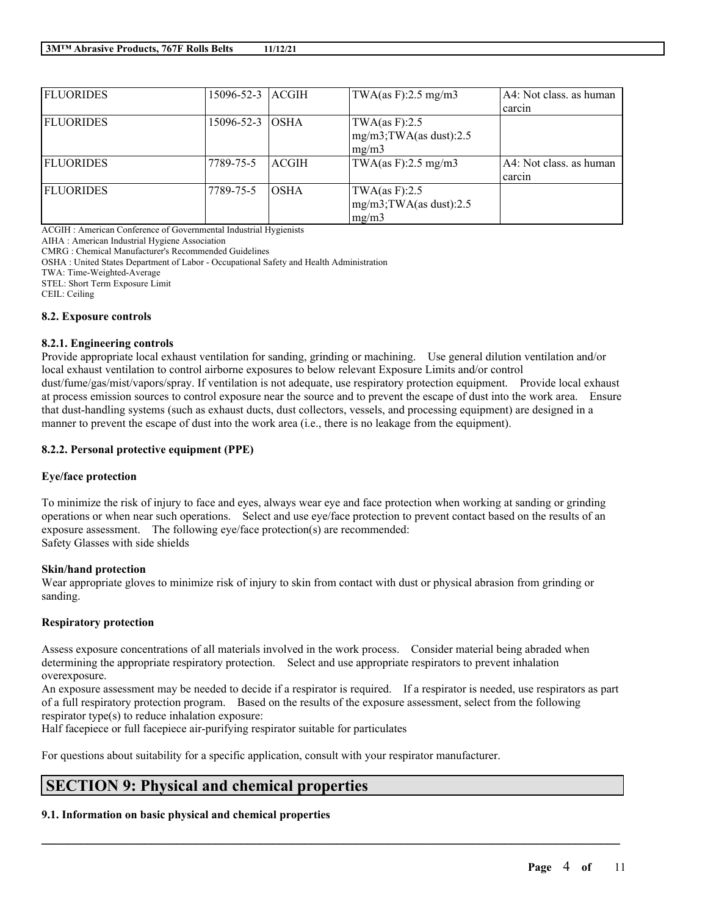| <b>FLUORIDES</b> | 15096-52-3 ACGIH |             | TWA(as F):2.5 mg/m3         | A4: Not class, as human |
|------------------|------------------|-------------|-----------------------------|-------------------------|
|                  |                  |             |                             | carcin                  |
| <b>FLUORIDES</b> | 15096-52-3 IOSHA |             | TWA $(as F):2.5$            |                         |
|                  |                  |             | $mg/m3$ ; TWA(as dust): 2.5 |                         |
|                  |                  |             | mg/m3                       |                         |
| <b>FLUORIDES</b> | 7789-75-5        | ACGIH       | TWA(as F):2.5 mg/m3         | A4: Not class, as human |
|                  |                  |             |                             | carcin                  |
| <b>FLUORIDES</b> | 7789-75-5        | <b>OSHA</b> | TWA $(as F):2.5$            |                         |
|                  |                  |             | $mg/m3$ ; TWA(as dust): 2.5 |                         |
|                  |                  |             | mg/m3                       |                         |

ACGIH : American Conference of Governmental Industrial Hygienists

AIHA : American Industrial Hygiene Association

CMRG : Chemical Manufacturer's Recommended Guidelines

OSHA : United States Department of Labor - Occupational Safety and Health Administration

TWA: Time-Weighted-Average

STEL: Short Term Exposure Limit

CEIL: Ceiling

#### **8.2. Exposure controls**

#### **8.2.1. Engineering controls**

Provide appropriate local exhaust ventilation for sanding, grinding or machining. Use general dilution ventilation and/or local exhaust ventilation to control airborne exposures to below relevant Exposure Limits and/or control dust/fume/gas/mist/vapors/spray. If ventilation is not adequate, use respiratory protection equipment. Provide local exhaust at process emission sources to control exposure near the source and to prevent the escape of dust into the work area. Ensure that dust-handling systems (such as exhaust ducts, dust collectors, vessels, and processing equipment) are designed in a manner to prevent the escape of dust into the work area (i.e., there is no leakage from the equipment).

#### **8.2.2. Personal protective equipment (PPE)**

## **Eye/face protection**

To minimize the risk of injury to face and eyes, always wear eye and face protection when working at sanding or grinding operations or when near such operations. Select and use eye/face protection to prevent contact based on the results of an exposure assessment. The following eye/face protection(s) are recommended: Safety Glasses with side shields

#### **Skin/hand protection**

Wear appropriate gloves to minimize risk of injury to skin from contact with dust or physical abrasion from grinding or sanding.

## **Respiratory protection**

Assess exposure concentrations of all materials involved in the work process. Consider material being abraded when determining the appropriate respiratory protection. Select and use appropriate respirators to prevent inhalation overexposure.

An exposure assessment may be needed to decide if a respirator is required. If a respirator is needed, use respirators as part of a full respiratory protection program. Based on the results of the exposure assessment, select from the following respirator type(s) to reduce inhalation exposure:

 $\mathcal{L}_\mathcal{L} = \mathcal{L}_\mathcal{L} = \mathcal{L}_\mathcal{L} = \mathcal{L}_\mathcal{L} = \mathcal{L}_\mathcal{L} = \mathcal{L}_\mathcal{L} = \mathcal{L}_\mathcal{L} = \mathcal{L}_\mathcal{L} = \mathcal{L}_\mathcal{L} = \mathcal{L}_\mathcal{L} = \mathcal{L}_\mathcal{L} = \mathcal{L}_\mathcal{L} = \mathcal{L}_\mathcal{L} = \mathcal{L}_\mathcal{L} = \mathcal{L}_\mathcal{L} = \mathcal{L}_\mathcal{L} = \mathcal{L}_\mathcal{L}$ 

Half facepiece or full facepiece air-purifying respirator suitable for particulates

For questions about suitability for a specific application, consult with your respirator manufacturer.

## **SECTION 9: Physical and chemical properties**

## **9.1. Information on basic physical and chemical properties**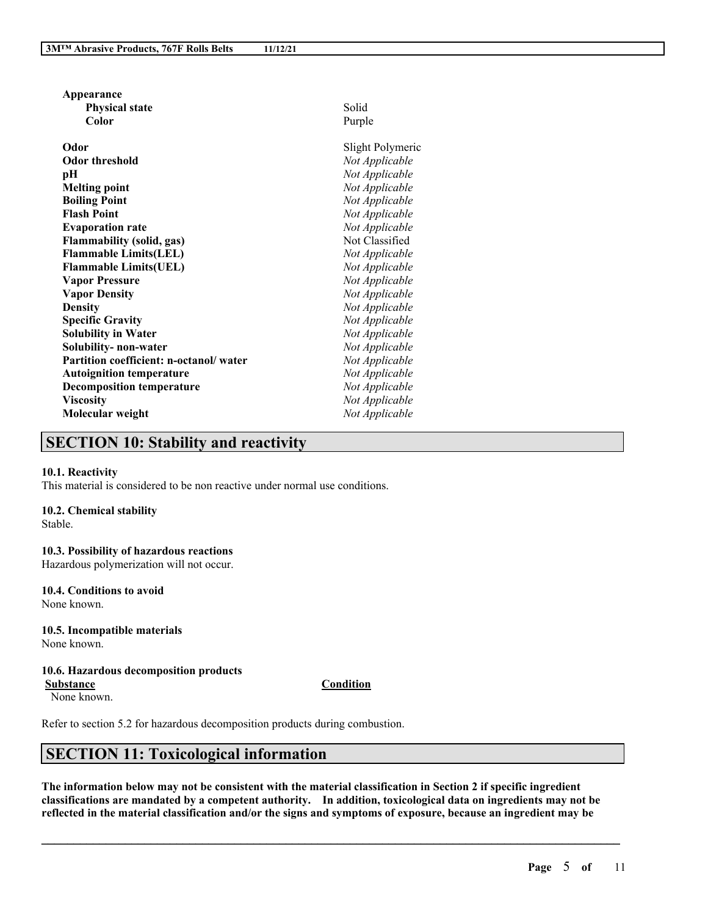| Appearance                             |                  |
|----------------------------------------|------------------|
| <b>Physical state</b>                  | Solid            |
| Color                                  | Purple           |
| Odor                                   | Slight Polymeric |
| <b>Odor threshold</b>                  | Not Applicable   |
| pН                                     | Not Applicable   |
| <b>Melting point</b>                   | Not Applicable   |
| <b>Boiling Point</b>                   | Not Applicable   |
| <b>Flash Point</b>                     | Not Applicable   |
| <b>Evaporation rate</b>                | Not Applicable   |
| <b>Flammability (solid, gas)</b>       | Not Classified   |
| <b>Flammable Limits(LEL)</b>           | Not Applicable   |
| <b>Flammable Limits(UEL)</b>           | Not Applicable   |
| <b>Vapor Pressure</b>                  | Not Applicable   |
| <b>Vapor Density</b>                   | Not Applicable   |
| <b>Density</b>                         | Not Applicable   |
| <b>Specific Gravity</b>                | Not Applicable   |
| <b>Solubility in Water</b>             | Not Applicable   |
| Solubility- non-water                  | Not Applicable   |
| Partition coefficient: n-octanol/water | Not Applicable   |
| <b>Autoignition temperature</b>        | Not Applicable   |
| <b>Decomposition temperature</b>       | Not Applicable   |
| <b>Viscosity</b>                       | Not Applicable   |
| Molecular weight                       | Not Applicable   |
|                                        |                  |

## **SECTION 10: Stability and reactivity**

#### **10.1. Reactivity**

This material is considered to be non reactive under normal use conditions.

### **10.2. Chemical stability**

Stable.

# **10.3. Possibility of hazardous reactions**

Hazardous polymerization will not occur.

# **10.4. Conditions to avoid**

None known.

#### **10.5. Incompatible materials** None known.

#### **10.6. Hazardous decomposition products**

None known.

**Substance Condition**

Refer to section 5.2 for hazardous decomposition products during combustion.

## **SECTION 11: Toxicological information**

The information below may not be consistent with the material classification in Section 2 if specific ingredient **classifications are mandated by a competent authority. In addition, toxicological data on ingredients may not be** reflected in the material classification and/or the signs and symptoms of exposure, because an ingredient may be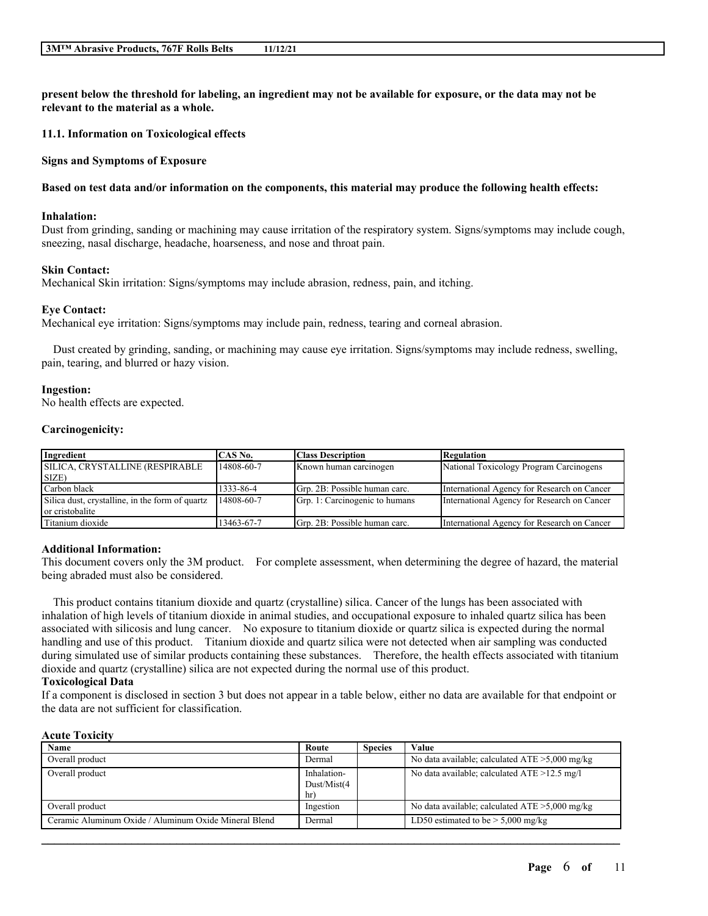present below the threshold for labeling, an ingredient may not be available for exposure, or the data may not be **relevant to the material as a whole.**

**11.1. Information on Toxicological effects**

**Signs and Symptoms of Exposure**

#### Based on test data and/or information on the components, this material may produce the following health effects:

#### **Inhalation:**

Dust from grinding, sanding or machining may cause irritation of the respiratory system. Signs/symptoms may include cough, sneezing, nasal discharge, headache, hoarseness, and nose and throat pain.

#### **Skin Contact:**

Mechanical Skin irritation: Signs/symptoms may include abrasion, redness, pain, and itching.

#### **Eye Contact:**

Mechanical eye irritation: Signs/symptoms may include pain, redness, tearing and corneal abrasion.

Dust created by grinding, sanding, or machining may cause eye irritation. Signs/symptoms may include redness, swelling, pain, tearing, and blurred or hazy vision.

#### **Ingestion:**

No health effects are expected.

#### **Carcinogenicity:**

| Ingredient                                      | CAS No.    | <b>Class Description</b>       | Regulation                                  |
|-------------------------------------------------|------------|--------------------------------|---------------------------------------------|
| SILICA, CRYSTALLINE (RESPIRABLE                 | 14808-60-7 | Known human carcinogen         | National Toxicology Program Carcinogens     |
| SIZE)                                           |            |                                |                                             |
| Carbon black                                    | 1333-86-4  | Grp. 2B: Possible human carc.  | International Agency for Research on Cancer |
| Silica dust, crystalline, in the form of quartz | 14808-60-7 | Grp. 1: Carcinogenic to humans | International Agency for Research on Cancer |
| or cristobalite                                 |            |                                |                                             |
| Titanium dioxide                                | 13463-67-7 | Grp. 2B: Possible human carc.  | International Agency for Research on Cancer |

#### **Additional Information:**

This document covers only the 3M product. For complete assessment, when determining the degree of hazard, the material being abraded must also be considered.

This product contains titanium dioxide and quartz (crystalline) silica. Cancer of the lungs has been associated with inhalation of high levels of titanium dioxide in animal studies, and occupational exposure to inhaled quartz silica has been associated with silicosis and lung cancer. No exposure to titanium dioxide or quartz silica is expected during the normal handling and use of this product. Titanium dioxide and quartz silica were not detected when air sampling was conducted during simulated use of similar products containing these substances. Therefore, the health effects associated with titanium dioxide and quartz (crystalline) silica are not expected during the normal use of this product.

### **Toxicological Data**

If a component is disclosed in section 3 but does not appear in a table below, either no data are available for that endpoint or the data are not sufficient for classification.

#### **Acute Toxicity**

| Name                                                  | Route                            | <b>Species</b> | Value                                             |
|-------------------------------------------------------|----------------------------------|----------------|---------------------------------------------------|
| Overall product                                       | Dermal                           |                | No data available; calculated $ATE > 5,000$ mg/kg |
| Overall product                                       | Inhalation-<br>Dust/Mist(4<br>hr |                | No data available; calculated $ATE > 12.5$ mg/l   |
| Overall product                                       | Ingestion                        |                | No data available; calculated $ATE > 5,000$ mg/kg |
| Ceramic Aluminum Oxide / Aluminum Oxide Mineral Blend | Dermal                           |                | LD50 estimated to be $> 5,000$ mg/kg              |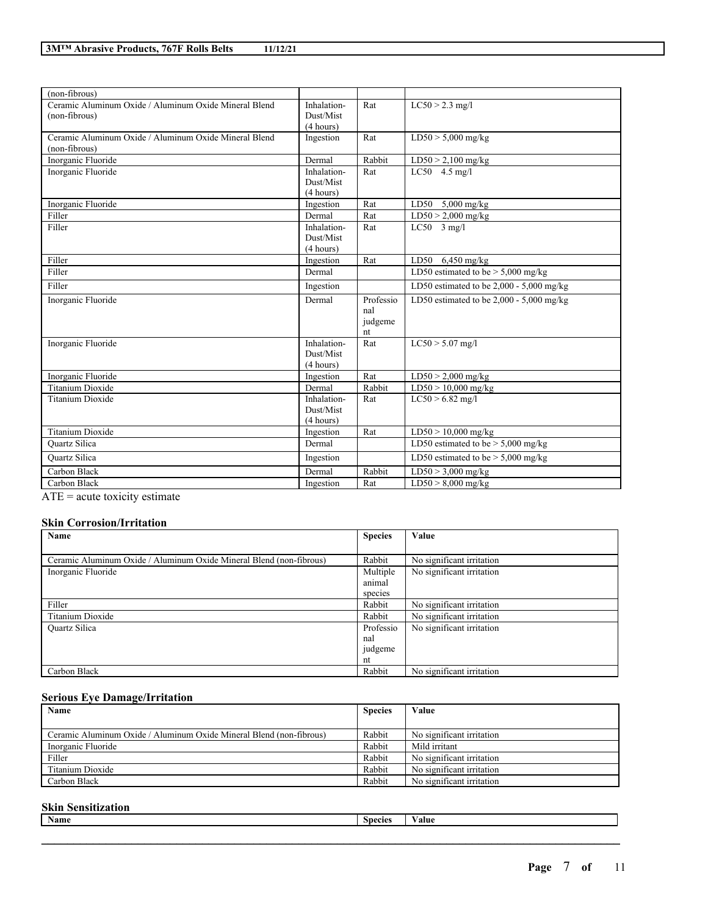| (non-fibrous)                                                          |                                       |                                   |                                            |
|------------------------------------------------------------------------|---------------------------------------|-----------------------------------|--------------------------------------------|
| Ceramic Aluminum Oxide / Aluminum Oxide Mineral Blend<br>(non-fibrous) | Inhalation-<br>Dust/Mist<br>(4 hours) | Rat                               | $LC50 > 2.3$ mg/l                          |
| Ceramic Aluminum Oxide / Aluminum Oxide Mineral Blend<br>(non-fibrous) | Ingestion                             | Rat                               | $LD50 > 5,000$ mg/kg                       |
| Inorganic Fluoride                                                     | Dermal                                | Rabbit                            | $LD50 > 2,100$ mg/kg                       |
| Inorganic Fluoride                                                     | Inhalation-<br>Dust/Mist<br>(4 hours) | Rat                               | $LC50$ 4.5 mg/l                            |
| Inorganic Fluoride                                                     | Ingestion                             | Rat                               | LD50 $5,000$ mg/kg                         |
| Filler                                                                 | Dermal                                | Rat                               | $LD50 > 2,000$ mg/kg                       |
| Filler                                                                 | Inhalation-<br>Dust/Mist<br>(4 hours) | Rat                               | $LC50$ 3 mg/l                              |
| Filler                                                                 | Ingestion                             | Rat                               | LD50 $6,450$ mg/kg                         |
| Filler                                                                 | Dermal                                |                                   | LD50 estimated to be $>$ 5,000 mg/kg       |
| Filler                                                                 | Ingestion                             |                                   | LD50 estimated to be $2,000 - 5,000$ mg/kg |
| Inorganic Fluoride                                                     | Dermal                                | Professio<br>nal<br>judgeme<br>nt | LD50 estimated to be $2,000 - 5,000$ mg/kg |
| Inorganic Fluoride                                                     | Inhalation-<br>Dust/Mist<br>(4 hours) | Rat                               | $LC50 > 5.07$ mg/l                         |
| Inorganic Fluoride                                                     | Ingestion                             | Rat                               | $LD50 > 2,000$ mg/kg                       |
| <b>Titanium Dioxide</b>                                                | Dermal                                | Rabbit                            | $LD50 > 10,000$ mg/kg                      |
| <b>Titanium Dioxide</b>                                                | Inhalation-<br>Dust/Mist<br>(4 hours) | Rat                               | $LC50 > 6.82$ mg/l                         |
| Titanium Dioxide                                                       | Ingestion                             | Rat                               | $LD50 > 10,000$ mg/kg                      |
| <b>Ouartz Silica</b>                                                   | Dermal                                |                                   | LD50 estimated to be $> 5,000$ mg/kg       |
| <b>Ouartz Silica</b>                                                   | Ingestion                             |                                   | LD50 estimated to be $> 5,000$ mg/kg       |
| Carbon Black                                                           | Dermal                                | Rabbit                            | $LD50 > 3,000$ mg/kg                       |
| Carbon Black                                                           | Ingestion                             | Rat                               | $LD50 > 8,000$ mg/kg                       |

ATE = acute toxicity estimate

## **Skin Corrosion/Irritation**

| Name                                                                | <b>Species</b> | Value                     |
|---------------------------------------------------------------------|----------------|---------------------------|
|                                                                     |                |                           |
| Ceramic Aluminum Oxide / Aluminum Oxide Mineral Blend (non-fibrous) | Rabbit         | No significant irritation |
| Inorganic Fluoride                                                  | Multiple       | No significant irritation |
|                                                                     | animal         |                           |
|                                                                     | species        |                           |
| Filler                                                              | Rabbit         | No significant irritation |
| Titanium Dioxide                                                    | Rabbit         | No significant irritation |
| <b>Ouartz Silica</b>                                                | Professio      | No significant irritation |
|                                                                     | nal            |                           |
|                                                                     | judgeme        |                           |
|                                                                     | nt             |                           |
| Carbon Black                                                        | Rabbit         | No significant irritation |

## **Serious Eye Damage/Irritation**

| Name                                                                | <b>Species</b> | Value                     |
|---------------------------------------------------------------------|----------------|---------------------------|
| Ceramic Aluminum Oxide / Aluminum Oxide Mineral Blend (non-fibrous) | Rabbit         | No significant irritation |
| Inorganic Fluoride                                                  | Rabbit         | Mild irritant             |
| Filler                                                              | Rabbit         | No significant irritation |
| Titanium Dioxide                                                    | Rabbit         | No significant irritation |
| Carbon Black                                                        | Rabbit         | No significant irritation |

## **Skin Sensitization**

| Name | $\sim$<br>Snecies | alue |
|------|-------------------|------|
|      |                   |      |
|      |                   |      |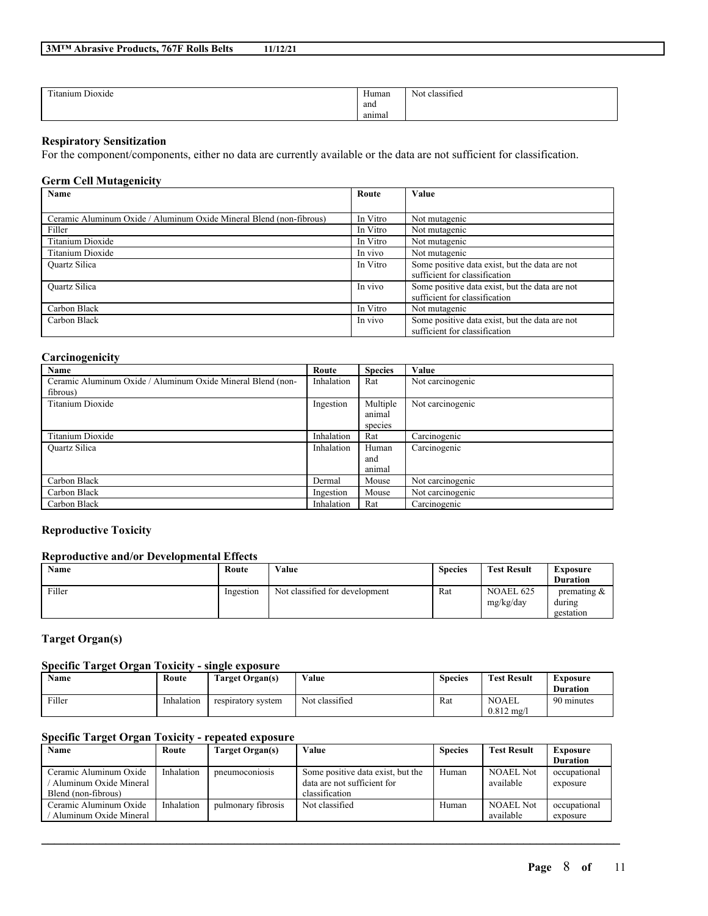| 3M <sup>™</sup> Abrasive Products, 767F Rolls Belts | 11/12/21 |
|-----------------------------------------------------|----------|
|-----------------------------------------------------|----------|

| cronic control<br>--<br>$\cdots$<br>Titanium Dioxide | $\mathbf{v}$<br>Human                | $\cdot$ $\sim$<br>Not classified |
|------------------------------------------------------|--------------------------------------|----------------------------------|
|                                                      | and                                  |                                  |
|                                                      | and the state of the state<br>anımal |                                  |

## **Respiratory Sensitization**

For the component/components, either no data are currently available or the data are not sufficient for classification.

## **Germ Cell Mutagenicity**

| Name                                                                | Route    | Value                                          |
|---------------------------------------------------------------------|----------|------------------------------------------------|
|                                                                     |          |                                                |
| Ceramic Aluminum Oxide / Aluminum Oxide Mineral Blend (non-fibrous) | In Vitro | Not mutagenic                                  |
| Filler                                                              | In Vitro | Not mutagenic                                  |
| Titanium Dioxide                                                    | In Vitro | Not mutagenic                                  |
| Titanium Dioxide                                                    | In vivo  | Not mutagenic                                  |
| <b>Ouartz Silica</b>                                                | In Vitro | Some positive data exist, but the data are not |
|                                                                     |          | sufficient for classification                  |
| <b>Ouartz Silica</b>                                                | In vivo  | Some positive data exist, but the data are not |
|                                                                     |          | sufficient for classification                  |
| Carbon Black                                                        | In Vitro | Not mutagenic                                  |
| Carbon Black                                                        | In vivo  | Some positive data exist, but the data are not |
|                                                                     |          | sufficient for classification                  |

### **Carcinogenicity**

| Name                                                        | Route      | <b>Species</b> | Value            |
|-------------------------------------------------------------|------------|----------------|------------------|
| Ceramic Aluminum Oxide / Aluminum Oxide Mineral Blend (non- | Inhalation | Rat            | Not carcinogenic |
| fibrous)                                                    |            |                |                  |
| Titanium Dioxide                                            | Ingestion  | Multiple       | Not carcinogenic |
|                                                             |            | animal         |                  |
|                                                             |            | species        |                  |
| Titanium Dioxide                                            | Inhalation | Rat            | Carcinogenic     |
| Quartz Silica                                               | Inhalation | Human          | Carcinogenic     |
|                                                             |            | and            |                  |
|                                                             |            | animal         |                  |
| Carbon Black                                                | Dermal     | Mouse          | Not carcinogenic |
| Carbon Black                                                | Ingestion  | Mouse          | Not carcinogenic |
| Carbon Black                                                | Inhalation | Rat            | Carcinogenic     |

## **Reproductive Toxicity**

## **Reproductive and/or Developmental Effects**

| Name   | Route     | Value                          | <b>Species</b> | <b>Test Result</b>            | Exposure                              |
|--------|-----------|--------------------------------|----------------|-------------------------------|---------------------------------------|
|        |           |                                |                |                               | <b>Duration</b>                       |
| Filler | Ingestion | Not classified for development | Rat            | <b>NOAEL 625</b><br>mg/kg/day | premating $\&$<br>during<br>gestation |

## **Target Organ(s)**

## **Specific Target Organ Toxicity - single exposure**

| <b>Name</b> | Route      | <b>Target Organ(s)</b> | Value          | <b>Species</b> | <b>Test Result</b>    | Exposure        |
|-------------|------------|------------------------|----------------|----------------|-----------------------|-----------------|
|             |            |                        |                |                |                       | <b>Duration</b> |
| Filler      | Inhalation | respiratory system     | Not classified | Rat            | <b>NOAEL</b>          | 90 minutes      |
|             |            |                        |                |                | $0.812 \text{ m}$ g/l |                 |

## **Specific Target Organ Toxicity - repeated exposure**

| Name                   | Route      | Target Organ(s)    | Value                             | <b>Species</b> | <b>Test Result</b> | Exposure        |
|------------------------|------------|--------------------|-----------------------------------|----------------|--------------------|-----------------|
|                        |            |                    |                                   |                |                    | <b>Duration</b> |
| Ceramic Aluminum Oxide | Inhalation | pneumoconiosis     | Some positive data exist, but the | Human          | <b>NOAEL Not</b>   | occupational    |
| Aluminum Oxide Mineral |            |                    | data are not sufficient for       |                | available          | exposure        |
| Blend (non-fibrous)    |            |                    | classification                    |                |                    |                 |
| Ceramic Aluminum Oxide | Inhalation | pulmonary fibrosis | Not classified                    | Human          | <b>NOAEL Not</b>   | occupational    |
| Aluminum Oxide Mineral |            |                    |                                   |                | available          | exposure        |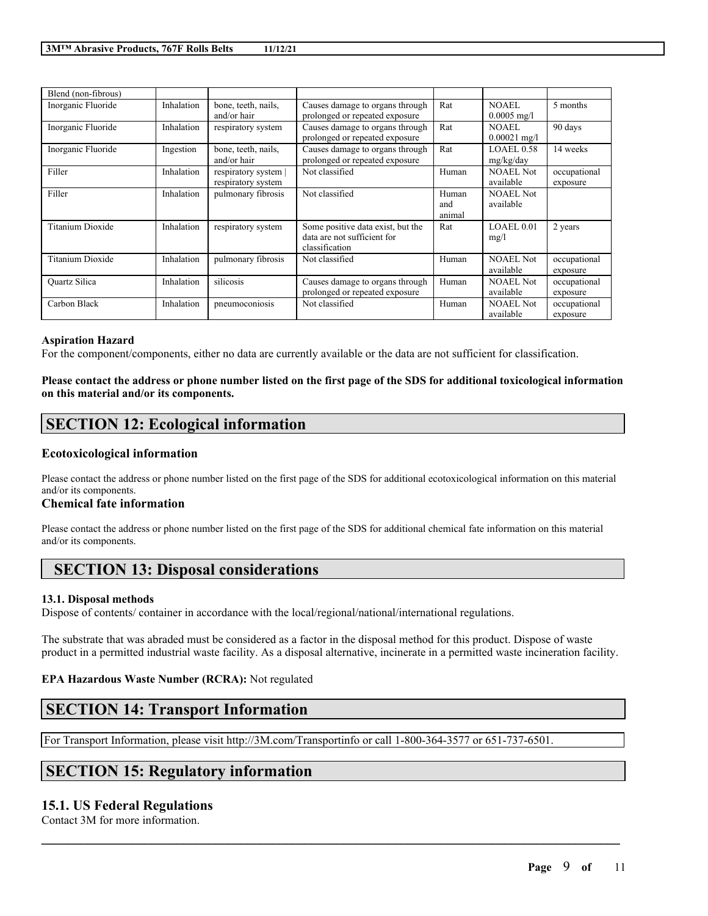| Blend (non-fibrous) |            |                                            |                                                                                    |                        |                                |                          |
|---------------------|------------|--------------------------------------------|------------------------------------------------------------------------------------|------------------------|--------------------------------|--------------------------|
| Inorganic Fluoride  | Inhalation | bone, teeth, nails,<br>and/or hair         | Causes damage to organs through<br>prolonged or repeated exposure                  | Rat                    | <b>NOAEL</b><br>$0.0005$ mg/l  | 5 months                 |
| Inorganic Fluoride  | Inhalation | respiratory system                         | Causes damage to organs through<br>prolonged or repeated exposure                  | Rat                    | NOAEL<br>$0.00021$ mg/l        | 90 days                  |
| Inorganic Fluoride  | Ingestion  | bone, teeth, nails,<br>and/or hair         | Causes damage to organs through<br>prolonged or repeated exposure                  | Rat                    | <b>LOAEL 0.58</b><br>mg/kg/day | 14 weeks                 |
| Filler              | Inhalation | respiratory system  <br>respiratory system | Not classified                                                                     | Human                  | <b>NOAEL Not</b><br>available  | occupational<br>exposure |
| Filler              | Inhalation | pulmonary fibrosis                         | Not classified                                                                     | Human<br>and<br>animal | <b>NOAEL Not</b><br>available  |                          |
| Titanium Dioxide    | Inhalation | respiratory system                         | Some positive data exist, but the<br>data are not sufficient for<br>classification | Rat                    | LOAEL 0.01<br>mg/l             | 2 years                  |
| Titanium Dioxide    | Inhalation | pulmonary fibrosis                         | Not classified                                                                     | Human                  | <b>NOAEL Not</b><br>available  | occupational<br>exposure |
| Quartz Silica       | Inhalation | silicosis                                  | Causes damage to organs through<br>prolonged or repeated exposure                  | Human                  | <b>NOAEL Not</b><br>available  | occupational<br>exposure |
| Carbon Black        | Inhalation | pneumoconiosis                             | Not classified                                                                     | Human                  | <b>NOAEL Not</b><br>available  | occupational<br>exposure |

#### **Aspiration Hazard**

For the component/components, either no data are currently available or the data are not sufficient for classification.

Please contact the address or phone number listed on the first page of the SDS for additional toxicological information **on this material and/or its components.**

## **SECTION 12: Ecological information**

## **Ecotoxicological information**

Please contact the address or phone number listed on the first page of the SDS for additional ecotoxicological information on this material and/or its components.

## **Chemical fate information**

Please contact the address or phone number listed on the first page of the SDS for additional chemical fate information on this material and/or its components.

## **SECTION 13: Disposal considerations**

#### **13.1. Disposal methods**

Dispose of contents/ container in accordance with the local/regional/national/international regulations.

The substrate that was abraded must be considered as a factor in the disposal method for this product. Dispose of waste product in a permitted industrial waste facility. As a disposal alternative, incinerate in a permitted waste incineration facility.

 $\mathcal{L}_\mathcal{L} = \mathcal{L}_\mathcal{L} = \mathcal{L}_\mathcal{L} = \mathcal{L}_\mathcal{L} = \mathcal{L}_\mathcal{L} = \mathcal{L}_\mathcal{L} = \mathcal{L}_\mathcal{L} = \mathcal{L}_\mathcal{L} = \mathcal{L}_\mathcal{L} = \mathcal{L}_\mathcal{L} = \mathcal{L}_\mathcal{L} = \mathcal{L}_\mathcal{L} = \mathcal{L}_\mathcal{L} = \mathcal{L}_\mathcal{L} = \mathcal{L}_\mathcal{L} = \mathcal{L}_\mathcal{L} = \mathcal{L}_\mathcal{L}$ 

## **EPA Hazardous Waste Number (RCRA):** Not regulated

## **SECTION 14: Transport Information**

For Transport Information, please visit http://3M.com/Transportinfo or call 1-800-364-3577 or 651-737-6501.

## **SECTION 15: Regulatory information**

## **15.1. US Federal Regulations**

Contact 3M for more information.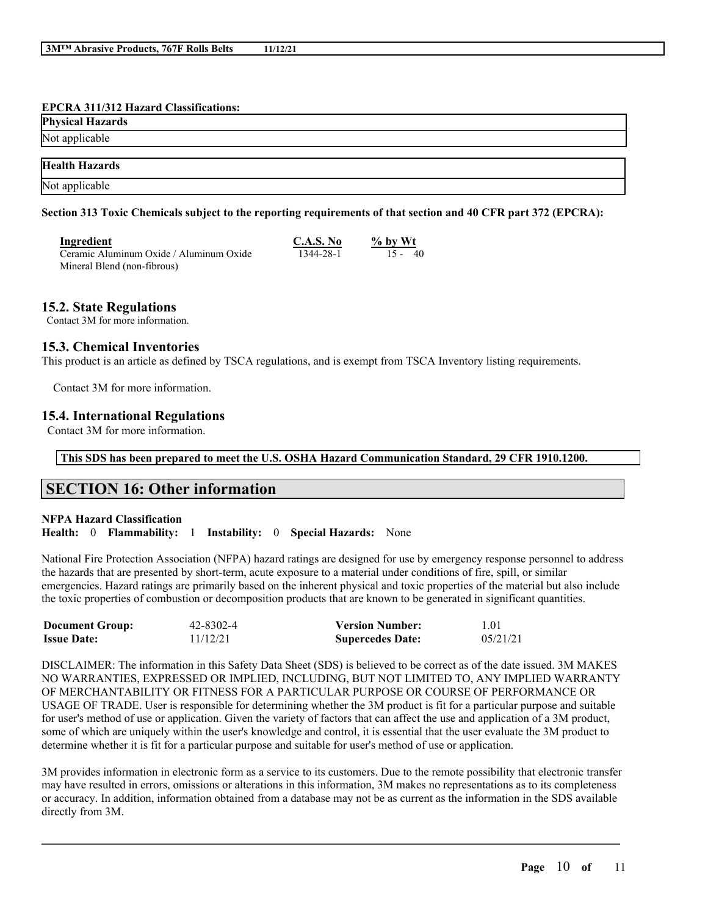#### **EPCRA 311/312 Hazard Classifications:**

| <b>Physical Hazards</b> |  |
|-------------------------|--|
| Not applicable          |  |
| <b>Health Hazards</b>   |  |
| Not applicable          |  |

### Section 313 Toxic Chemicals subject to the reporting requirements of that section and 40 CFR part 372 (EPCRA):

| Ingredient                              | C.A.S. No | $\%$ by Wt |
|-----------------------------------------|-----------|------------|
| Ceramic Aluminum Oxide / Aluminum Oxide | 1344-28-1 | $15 - 40$  |
| Mineral Blend (non-fibrous)             |           |            |

## **15.2. State Regulations**

Contact 3M for more information.

## **15.3. Chemical Inventories**

This product is an article as defined by TSCA regulations, and is exempt from TSCA Inventory listing requirements.

Contact 3M for more information.

## **15.4. International Regulations**

Contact 3M for more information.

**This SDS has been prepared to meet the U.S. OSHA Hazard Communication Standard, 29 CFR 1910.1200.**

## **SECTION 16: Other information**

#### **NFPA Hazard Classification**

**Health:** 0 **Flammability:** 1 **Instability:** 0 **Special Hazards:** None

National Fire Protection Association (NFPA) hazard ratings are designed for use by emergency response personnel to address the hazards that are presented by short-term, acute exposure to a material under conditions of fire, spill, or similar emergencies. Hazard ratings are primarily based on the inherent physical and toxic properties of the material but also include the toxic properties of combustion or decomposition products that are known to be generated in significant quantities.

| <b>Document Group:</b> | 42-8302-4 | <b>Version Number:</b>  | 1.01     |
|------------------------|-----------|-------------------------|----------|
| <b>Issue Date:</b>     | 11/12/21  | <b>Supercedes Date:</b> | 05/21/21 |

DISCLAIMER: The information in this Safety Data Sheet (SDS) is believed to be correct as of the date issued. 3M MAKES NO WARRANTIES, EXPRESSED OR IMPLIED, INCLUDING, BUT NOT LIMITED TO, ANY IMPLIED WARRANTY OF MERCHANTABILITY OR FITNESS FOR A PARTICULAR PURPOSE OR COURSE OF PERFORMANCE OR USAGE OF TRADE. User is responsible for determining whether the 3M product is fit for a particular purpose and suitable for user's method of use or application. Given the variety of factors that can affect the use and application of a 3M product, some of which are uniquely within the user's knowledge and control, it is essential that the user evaluate the 3M product to determine whether it is fit for a particular purpose and suitable for user's method of use or application.

3M provides information in electronic form as a service to its customers. Due to the remote possibility that electronic transfer may have resulted in errors, omissions or alterations in this information, 3M makes no representations as to its completeness or accuracy. In addition, information obtained from a database may not be as current as the information in the SDS available directly from 3M.